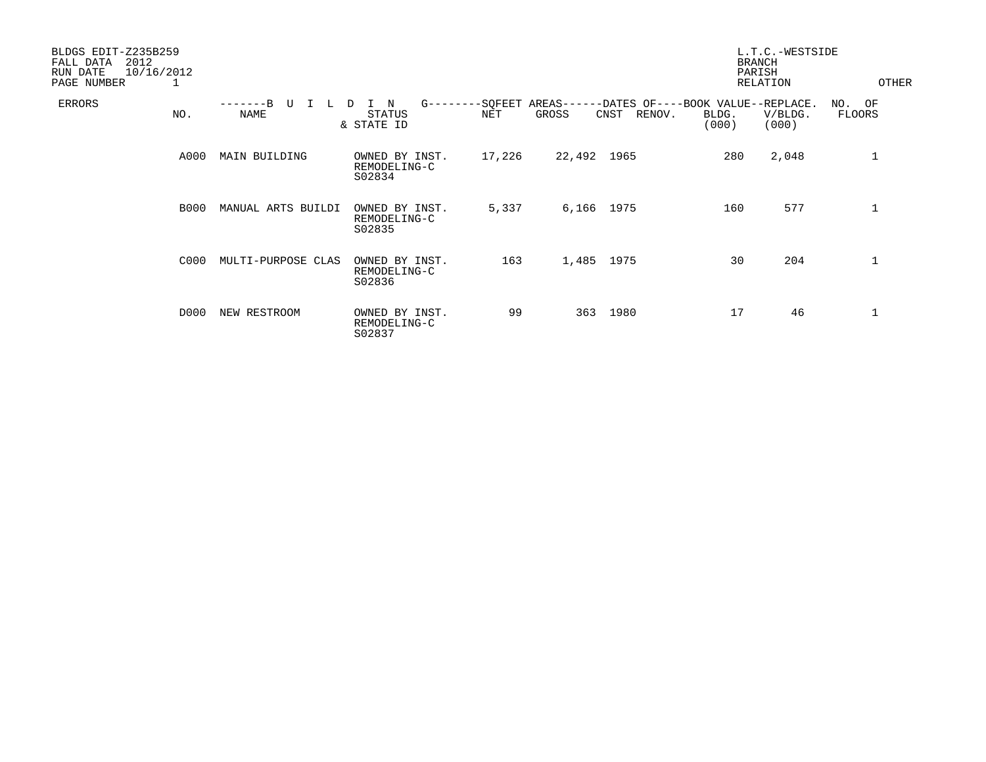| BLDGS EDIT-Z235B259<br>2012<br>FALL DATA<br>RUN DATE<br>PAGE NUMBER | 10/16/2012<br>1 |                           |                                          |                        |                     |                | <b>BRANCH</b><br>PARISH                             | L.T.C.-WESTSIDE<br>RELATION | OTHER            |  |
|---------------------------------------------------------------------|-----------------|---------------------------|------------------------------------------|------------------------|---------------------|----------------|-----------------------------------------------------|-----------------------------|------------------|--|
| ERRORS                                                              | NO.             | $---B$<br>τT<br>L<br>NAME | N<br>D<br><b>STATUS</b><br>& STATE ID    | $G------SOFEET$<br>NET | $AREAS---$<br>GROSS | RENOV.<br>CNST | -DATES OF----BOOK VALUE--REPLACE.<br>BLDG.<br>(000) | V/BLDG.<br>(000)            | NO. OF<br>FLOORS |  |
|                                                                     | A000            | MAIN BUILDING             | OWNED BY INST.<br>REMODELING-C<br>S02834 | 17,226                 | 22,492 1965         |                | 280                                                 | 2,048                       | $\mathbf{1}$     |  |
|                                                                     | <b>B000</b>     | MANUAL ARTS BUILDI        | OWNED BY INST.<br>REMODELING-C<br>S02835 | 5,337                  | 6,166 1975          |                | 160                                                 | 577                         | 1                |  |
|                                                                     | C000            | MULTI-PURPOSE CLAS        | OWNED BY INST.<br>REMODELING-C<br>S02836 | 163                    | 1,485 1975          |                | 30                                                  | 204                         | $\mathbf{1}$     |  |
|                                                                     | D000            | NEW RESTROOM              | OWNED BY INST.<br>REMODELING-C<br>S02837 | 99                     | 363                 | 1980           | 17                                                  | 46                          |                  |  |